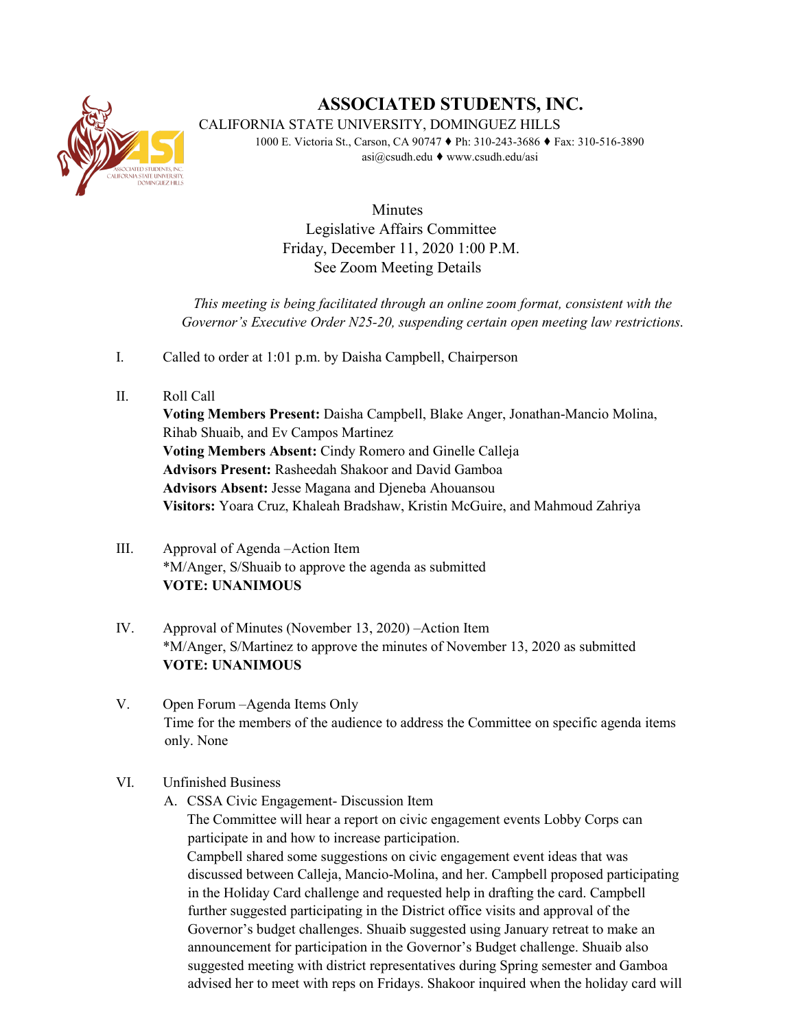

## **ASSOCIATED STUDENTS, INC.**

CALIFORNIA STATE UNIVERSITY, DOMINGUEZ HILLS

1000 E. Victoria St., Carson, CA 90747 ♦ Ph: 310-243-3686 ♦ Fax: 310-516-3890 asi@csudh.edu ♦ www.csudh.edu/asi

> Minutes Legislative Affairs Committee Friday, December 11, 2020 1:00 P.M. See Zoom Meeting Details

*This meeting is being facilitated through an online zoom format, consistent with the Governor's Executive Order N25-20, suspending certain open meeting law restrictions.* 

- I. Called to order at 1:01 p.m. by Daisha Campbell, Chairperson
- II. Roll Call

**Voting Members Present:** Daisha Campbell, Blake Anger, Jonathan-Mancio Molina, Rihab Shuaib, and Ev Campos Martinez **Voting Members Absent:** Cindy Romero and Ginelle Calleja **Advisors Present:** Rasheedah Shakoor and David Gamboa **Advisors Absent:** Jesse Magana and Djeneba Ahouansou **Visitors:** Yoara Cruz, Khaleah Bradshaw, Kristin McGuire, and Mahmoud Zahriya

- III. Approval of Agenda –Action Item \*M/Anger, S/Shuaib to approve the agenda as submitted **VOTE: UNANIMOUS**
- IV. Approval of Minutes (November 13, 2020) –Action Item \*M/Anger, S/Martinez to approve the minutes of November 13, 2020 as submitted **VOTE: UNANIMOUS**
- V. Open Forum –Agenda Items Only Time for the members of the audience to address the Committee on specific agenda items only. None

## VI. Unfinished Business

A. CSSA Civic Engagement- Discussion Item

The Committee will hear a report on civic engagement events Lobby Corps can participate in and how to increase participation.

Campbell shared some suggestions on civic engagement event ideas that was discussed between Calleja, Mancio-Molina, and her. Campbell proposed participating in the Holiday Card challenge and requested help in drafting the card. Campbell further suggested participating in the District office visits and approval of the Governor's budget challenges. Shuaib suggested using January retreat to make an announcement for participation in the Governor's Budget challenge. Shuaib also suggested meeting with district representatives during Spring semester and Gamboa advised her to meet with reps on Fridays. Shakoor inquired when the holiday card will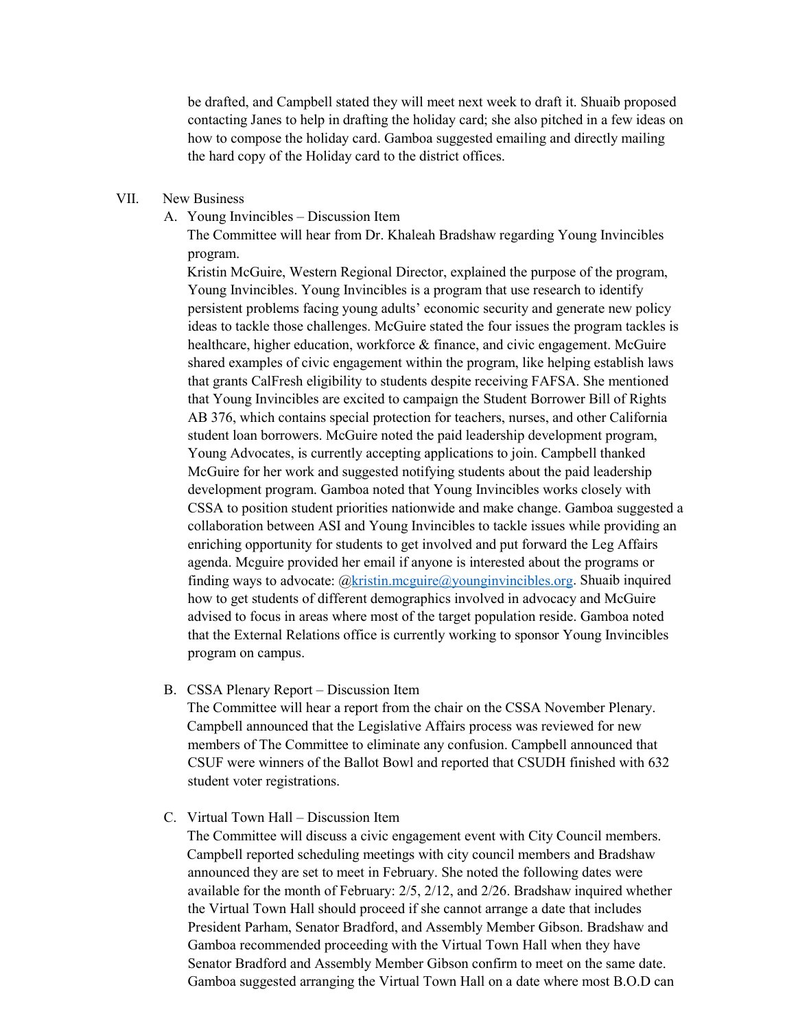be drafted, and Campbell stated they will meet next week to draft it. Shuaib proposed contacting Janes to help in drafting the holiday card; she also pitched in a few ideas on how to compose the holiday card. Gamboa suggested emailing and directly mailing the hard copy of the Holiday card to the district offices.

- VII. New Business
	- A. Young Invincibles Discussion Item

The Committee will hear from Dr. Khaleah Bradshaw regarding Young Invincibles program.

Kristin McGuire, Western Regional Director, explained the purpose of the program, Young Invincibles. Young Invincibles is a program that use research to identify persistent problems facing young adults' economic security and generate new policy ideas to tackle those challenges. McGuire stated the four issues the program tackles is healthcare, higher education, workforce & finance, and civic engagement. McGuire shared examples of civic engagement within the program, like helping establish laws that grants CalFresh eligibility to students despite receiving FAFSA. She mentioned that Young Invincibles are excited to campaign the Student Borrower Bill of Rights AB 376, which contains special protection for teachers, nurses, and other California student loan borrowers. McGuire noted the paid leadership development program, Young Advocates, is currently accepting applications to join. Campbell thanked McGuire for her work and suggested notifying students about the paid leadership development program. Gamboa noted that Young Invincibles works closely with CSSA to position student priorities nationwide and make change. Gamboa suggested a collaboration between ASI and Young Invincibles to tackle issues while providing an enriching opportunity for students to get involved and put forward the Leg Affairs agenda. Mcguire provided her email if anyone is interested about the programs or finding ways to advocate:  $@k$ ristin.mcguire $@y$ ounginvincibles.org. Shuaib inquired how to get students of different demographics involved in advocacy and McGuire advised to focus in areas where most of the target population reside. Gamboa noted that the External Relations office is currently working to sponsor Young Invincibles program on campus.

B. CSSA Plenary Report – Discussion Item

The Committee will hear a report from the chair on the CSSA November Plenary. Campbell announced that the Legislative Affairs process was reviewed for new members of The Committee to eliminate any confusion. Campbell announced that CSUF were winners of the Ballot Bowl and reported that CSUDH finished with 632 student voter registrations.

C. Virtual Town Hall – Discussion Item

The Committee will discuss a civic engagement event with City Council members. Campbell reported scheduling meetings with city council members and Bradshaw announced they are set to meet in February. She noted the following dates were available for the month of February: 2/5, 2/12, and 2/26. Bradshaw inquired whether the Virtual Town Hall should proceed if she cannot arrange a date that includes President Parham, Senator Bradford, and Assembly Member Gibson. Bradshaw and Gamboa recommended proceeding with the Virtual Town Hall when they have Senator Bradford and Assembly Member Gibson confirm to meet on the same date. Gamboa suggested arranging the Virtual Town Hall on a date where most B.O.D can